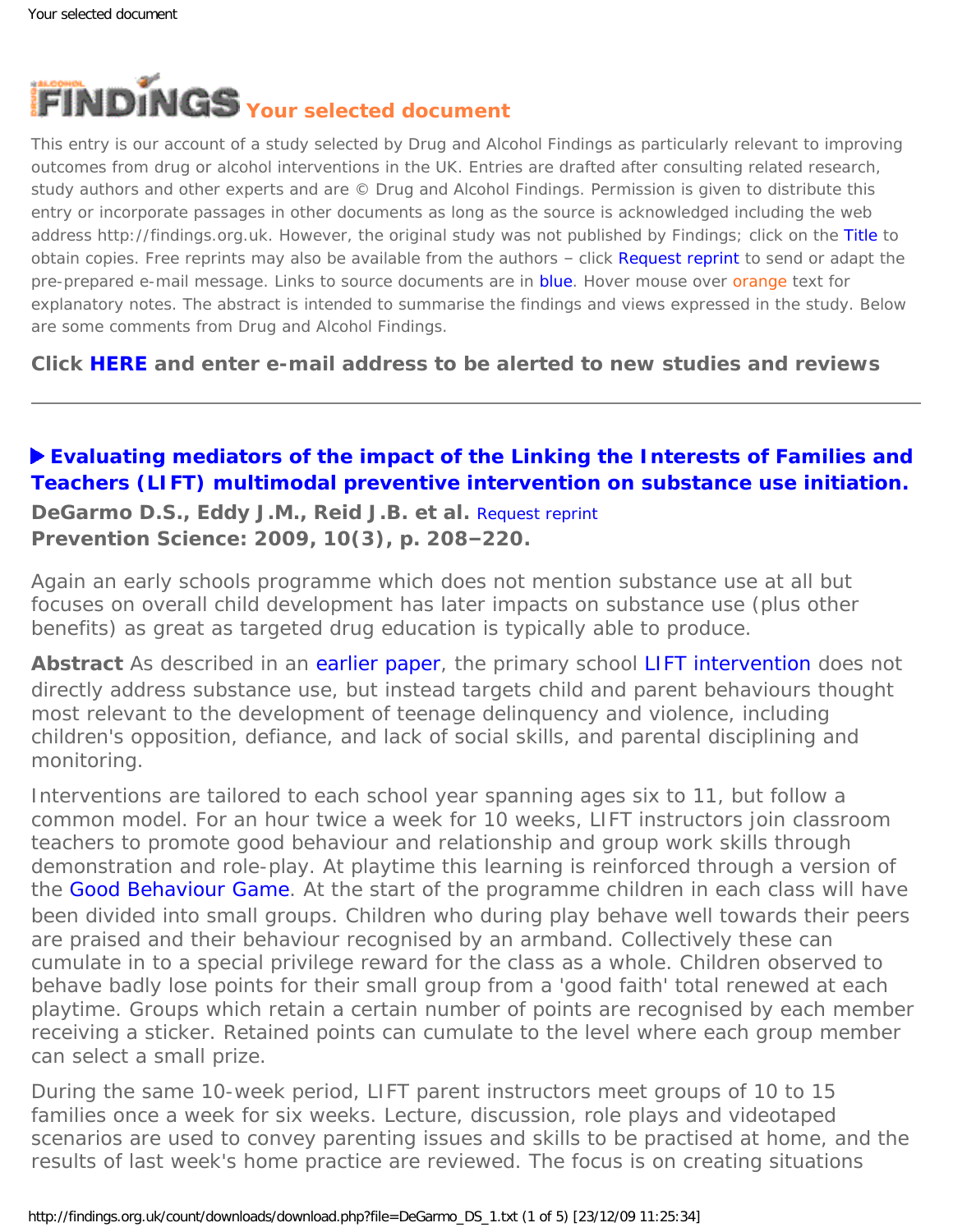<span id="page-0-0"></span>

This entry is our account of a study selected by Drug and Alcohol Findings as particularly relevant to improving outcomes from drug or alcohol interventions in the UK. Entries are drafted after consulting related research, study authors and other experts and are © Drug and Alcohol Findings. Permission is given to distribute this entry or incorporate passages in other documents as long as the source is acknowledged including the web address http://findings.org.uk. However, the original study was not published by Findings; click on the Title to obtain copies. Free reprints may also be available from the authors - click Request reprint to send or adapt the pre-prepared e-mail message. Links to source documents are in blue. Hover mouse over orange text for explanatory notes. The abstract is intended to summarise the findings and views expressed in the study. Below are some comments from Drug and Alcohol Findings.

**Click [HERE](https://findings.org.uk/index.php#signUp) and enter e-mail address to be alerted to new studies and reviews**

## **[Evaluating mediators of the impact of the Linking the Interests of Families and](http://dx.doi.org/10.1007/s11121-009-0126-0)  [Teachers \(LIFT\) multimodal preventive intervention on substance use initiation.](http://dx.doi.org/10.1007/s11121-009-0126-0)**

**DeGarmo D.S., Eddy J.M., Reid J.B. et al.** [Request reprint](mailto:davidd@oslc.org?Subject=Reprint%20request&body=Dear Dr DeGarmo%0A%0AOn the Drug and Alcohol Findings web site (https://findings.org.uk) I read about your article:%0ADeGarmo D.S., Eddy J.M., Reid J.B. et al. Evaluating mediators of the impact of the Linking the Interests of Families and Teachers (LIFT) multimodal preventive intervention on substance use initiation. Prevention Science: 2009, 10(3), p. 208-220.%0A%0AWould it be possible to for me to be sent a PDF reprint or the manuscript by return e-mail?%0A) **Prevention Science: 2009, 10(3), p. 208–220.**

Again an early schools programme which does not mention substance use at all but focuses on overall child development has later impacts on substance use (plus other benefits) as great as targeted drug education is typically able to produce.

**Abstract** As described in an [earlier paper](http://dx.doi.org/10.1177/106342660000800304), the primary school [LIFT intervention](http://www.oslc.org/projects/popups-projects/link-family-teacher.html) does not directly address substance use, but instead targets child and parent behaviours thought most relevant to the development of teenage delinquency and violence, including children's opposition, defiance, and lack of social skills, and parental disciplining and monitoring.

Interventions are tailored to each school year spanning ages six to 11, but follow a common model. For an hour twice a week for 10 weeks, LIFT instructors join classroom teachers to promote good behaviour and relationship and group work skills through demonstration and role-play. At playtime this learning is reinforced through a version of the [Good Behaviour Game](http://evidencebasedprograms.org/wordpress/?page_id=81). At the start of the programme children in each class will have been divided into small groups. Children who during play behave well towards their peers are praised and their behaviour recognised by an armband. Collectively these can cumulate in to a special privilege reward for the class as a whole. Children observed to behave badly lose points for their small group from a 'good faith' total renewed at each playtime. Groups which retain a certain number of points are recognised by each member receiving a sticker. Retained points can cumulate to the level where each group member can select a small prize.

During the same 10-week period, LIFT parent instructors meet groups of 10 to 15 families once a week for six weeks. Lecture, discussion, role plays and videotaped scenarios are used to convey parenting issues and skills to be practised at home, and the results of last week's home practice are reviewed. The focus is on creating situations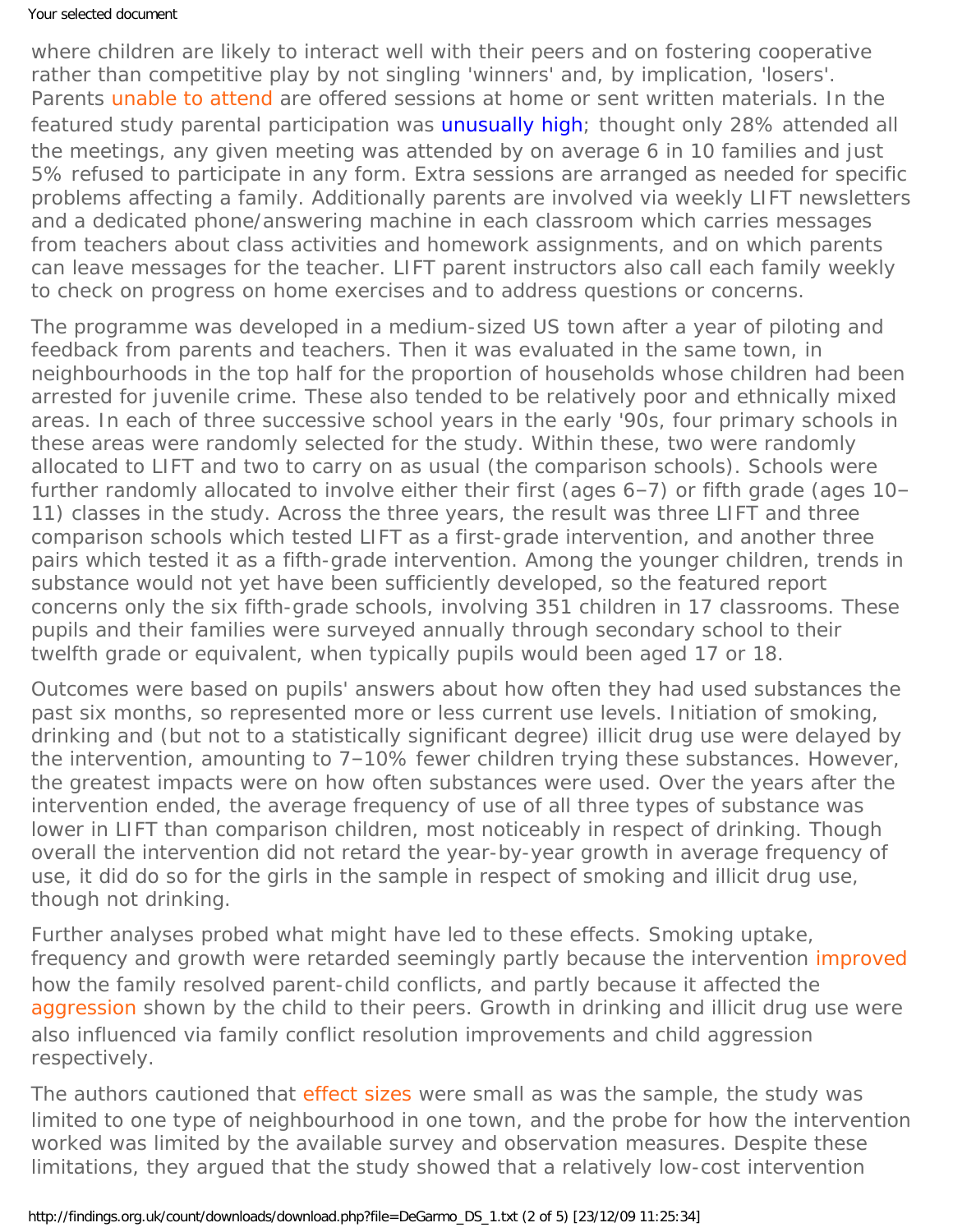## Your selected document

where children are likely to interact well with their peers and on fostering cooperative rather than competitive play by not singling 'winners' and, by implication, 'losers'. Parents [unable to attend](#page-0-0) are offered sessions at home or sent written materials. In the featured study parental participation was [unusually high;](http://dx.doi.org/10.1177/106342660000800304) thought only 28% attended all the meetings, any given meeting was attended by on average 6 in 10 families and just 5% refused to participate in any form. Extra sessions are arranged as needed for specific problems affecting a family. Additionally parents are involved via weekly LIFT newsletters and a dedicated phone/answering machine in each classroom which carries messages from teachers about class activities and homework assignments, and on which parents can leave messages for the teacher. LIFT parent instructors also call each family weekly to check on progress on home exercises and to address questions or concerns.

The programme was developed in a medium-sized US town after a year of piloting and feedback from parents and teachers. Then it was evaluated in the same town, in neighbourhoods in the top half for the proportion of households whose children had been arrested for juvenile crime. These also tended to be relatively poor and ethnically mixed areas. In each of three successive school years in the early '90s, four primary schools in these areas were randomly selected for the study. Within these, two were randomly allocated to LIFT and two to carry on as usual (the comparison schools). Schools were further randomly allocated to involve either their first (ages 6–7) or fifth grade (ages 10– 11) classes in the study. Across the three years, the result was three LIFT and three comparison schools which tested LIFT as a first-grade intervention, and another three pairs which tested it as a fifth-grade intervention. Among the younger children, trends in substance would not yet have been sufficiently developed, so the featured report concerns only the six fifth-grade schools, involving 351 children in 17 classrooms. These pupils and their families were surveyed annually through secondary school to their twelfth grade or equivalent, when typically pupils would been aged 17 or 18.

Outcomes were based on pupils' answers about how often they had used substances the past six months, so represented more or less current use levels. Initiation of smoking, drinking and (but not to a statistically significant degree) illicit drug use were delayed by the intervention, amounting to 7–10% fewer children trying these substances. However, the greatest impacts were on how often substances were used. Over the years after the intervention ended, the average frequency of use of all three types of substance was lower in LIFT than comparison children, most noticeably in respect of drinking. Though overall the intervention did not retard the year-by-year growth in average frequency of use, it did do so for the girls in the sample in respect of smoking and illicit drug use, though not drinking.

Further analyses probed what might have led to these effects. Smoking uptake, frequency and growth were retarded seemingly partly because the intervention [improved](#page-0-0) how the family resolved parent-child conflicts, and partly because it affected the [aggression](#page-0-0) shown by the child to their peers. Growth in drinking and illicit drug use were also influenced via family conflict resolution improvements and child aggression respectively.

The authors cautioned that [effect sizes](#page-0-0) were small as was the sample, the study was limited to one type of neighbourhood in one town, and the probe for how the intervention worked was limited by the available survey and observation measures. Despite these limitations, they argued that the study showed that a relatively low-cost intervention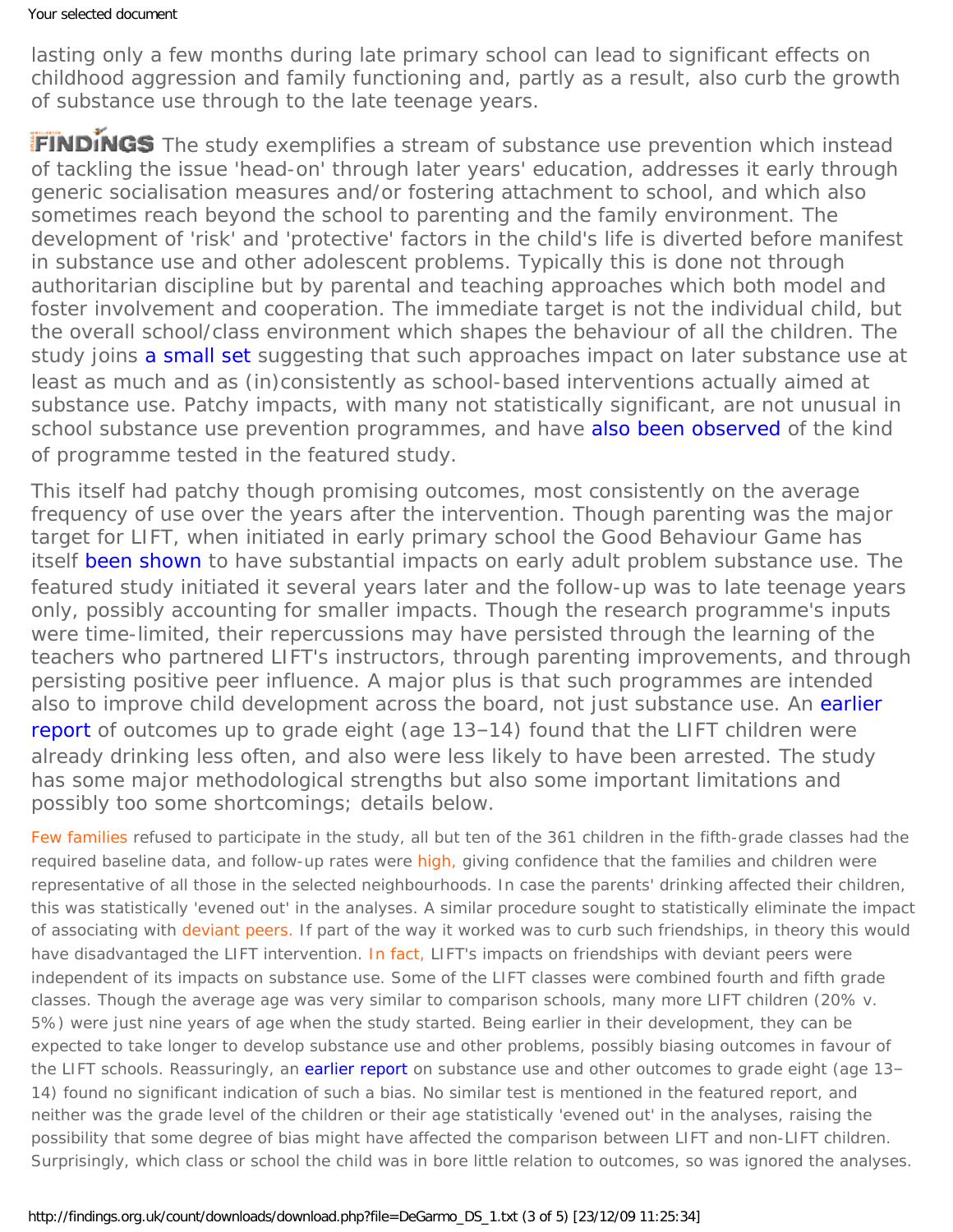lasting only a few months during late primary school can lead to significant effects on childhood aggression and family functioning and, partly as a result, also curb the growth of substance use through to the late teenage years.

FINDINGS The study exemplifies a stream of substance use prevention which instead of tackling the issue 'head-on' through later years' education, addresses it early through generic socialisation measures and/or fostering attachment to school, and which also sometimes reach beyond the school to parenting and the family environment. The development of 'risk' and 'protective' factors in the child's life is diverted before manifest in substance use and other adolescent problems. Typically this is done not through authoritarian discipline but by parental and teaching approaches which both model and foster involvement and cooperation. The immediate target is not the individual child, but the overall school/class environment which shapes the behaviour of all the children. The study joins [a small set](http://dx.doi.org/10.1023/A:1021393724832) suggesting that such approaches impact on later substance use at least as much and as (in)consistently as school-based interventions actually aimed at substance use. Patchy impacts, with many not statistically significant, are not unusual in school substance use prevention programmes, and have [also been observed](http://dx.doi.org/10.1007/s11292-004-6461-z) of the kind of programme tested in the featured study.

This itself had patchy though promising outcomes, most consistently on the average frequency of use over the years after the intervention. Though parenting was the major target for LIFT, when initiated in early primary school the Good Behaviour Game has itself [been shown](https://findings.org.uk/count/downloads/download.php?file=Kellam_SG_4.txt) to have substantial impacts on early adult problem substance use. The featured study initiated it several years later and the follow-up was to late teenage years only, possibly accounting for smaller impacts. Though the research programme's inputs were time-limited, their repercussions may have persisted through the learning of the teachers who partnered LIFT's instructors, through parenting improvements, and through persisting positive peer influence. A major plus is that such programmes are intended also to improve child development across the board, not just substance use. An [earlier](http://dx.doi.org/10.1016/S0005-7894(03)80034-5) [report](http://dx.doi.org/10.1016/S0005-7894(03)80034-5) of outcomes up to grade eight (age 13–14) found that the LIFT children were already drinking less often, and also were less likely to have been arrested. The study has some major methodological strengths but also some important limitations and possibly too some shortcomings; details below.

[Few families](#page-0-0) refused to participate in the study, all but ten of the 361 children in the fifth-grade classes had the required baseline data, and follow-up rates were [high,](#page-0-0) giving confidence that the families and children were representative of all those in the selected neighbourhoods. In case the parents' drinking affected their children, this was statistically 'evened out' in the analyses. A similar procedure sought to statistically eliminate the impact of associating with [deviant peers.](#page-0-0) If part of the way it worked was to curb such friendships, in theory this would have disadvantaged the LIFT intervention. [In fact,](#page-0-0) LIFT's impacts on friendships with deviant peers were independent of its impacts on substance use. Some of the LIFT classes were combined fourth and fifth grade classes. Though the average age was very similar to comparison schools, many more LIFT children (20% v. 5%) were just nine years of age when the study started. Being earlier in their development, they can be expected to take longer to develop substance use and other problems, possibly biasing outcomes in favour of the LIFT schools. Reassuringly, an [earlier report](http://dx.doi.org/10.1016/S0005-7894(03)80034-5) on substance use and other outcomes to grade eight (age 13-14) found no significant indication of such a bias. No similar test is mentioned in the featured report, and neither was the grade level of the children or their age statistically 'evened out' in the analyses, raising the possibility that some degree of bias might have affected the comparison between LIFT and non-LIFT children. Surprisingly, which class or school the child was in bore little relation to outcomes, so was ignored the analyses.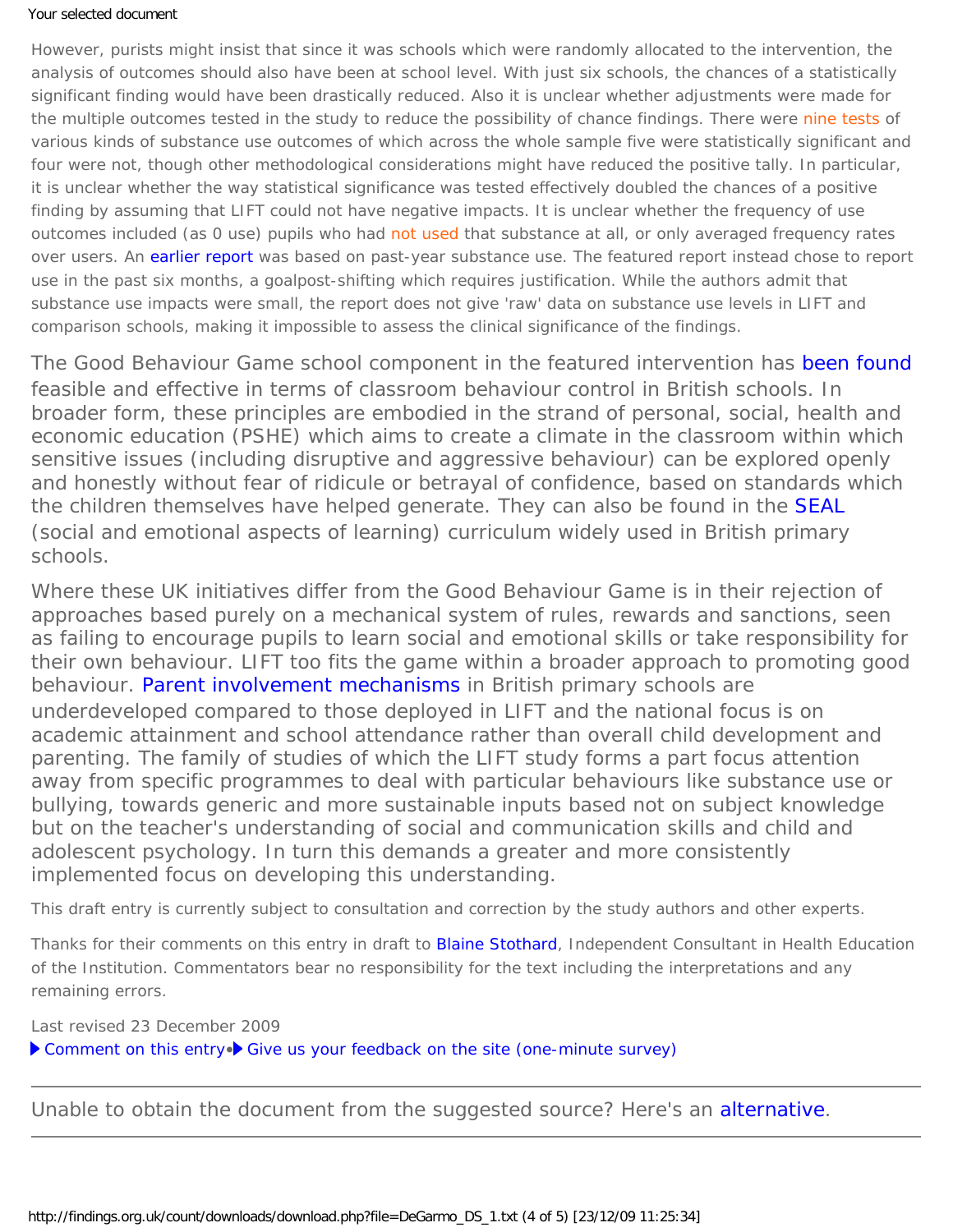## Your selected document

However, purists might insist that since it was schools which were randomly allocated to the intervention, the analysis of outcomes should also have been at school level. With just six schools, the chances of a statistically significant finding would have been drastically reduced. Also it is unclear whether adjustments were made for the multiple outcomes tested in the study to reduce the possibility of chance findings. There were [nine tests](#page-0-0) of various kinds of substance use outcomes of which across the whole sample five were statistically significant and four were not, though other methodological considerations might have reduced the positive tally. In particular, it is unclear whether the way statistical significance was tested effectively doubled the chances of a positive finding by assuming that LIFT could not have negative impacts. It is unclear whether the frequency of use outcomes included (as 0 use) pupils who had [not used](#page-0-0) that substance at all, or only averaged frequency rates over users. An [earlier report](http://dx.doi.org/10.1016/S0005-7894(03)80034-5) was based on past-year substance use. The featured report instead chose to report use in the past six months, a goalpost-shifting which requires justification. While the authors admit that substance use impacts were small, the report does not give 'raw' data on substance use levels in LIFT and comparison schools, making it impossible to assess the clinical significance of the findings.

The Good Behaviour Game school component in the featured intervention has [been found](http://dx.doi.org/10.1177/0145445503261165) feasible and effective in terms of classroom behaviour control in British schools. In broader form, these principles are embodied in the strand of personal, social, health and economic education (PSHE) which aims to create a climate in the classroom within which sensitive issues (including disruptive and aggressive behaviour) can be explored openly and honestly without fear of ridicule or betrayal of confidence, based on standards which the children themselves have helped generate. They can also be found in the **[SEAL](http://nationalstrategies.standards.dcsf.gov.uk/node/66372?uc=force_uj)** (social and emotional aspects of learning) curriculum widely used in British primary schools.

Where these UK initiatives differ from the Good Behaviour Game is in their rejection of approaches based purely on a mechanical system of rules, rewards and sanctions, seen as failing to encourage pupils to learn social and emotional skills or take responsibility for their own behaviour. LIFT too fits the game within a broader approach to promoting good behaviour. [Parent involvement mechanisms](http://nationalstrategies.standards.dcsf.gov.uk/node/154319) in British primary schools are underdeveloped compared to those deployed in LIFT and the national focus is on academic attainment and school attendance rather than overall child development and parenting. The family of studies of which the LIFT study forms a part focus attention away from specific programmes to deal with particular behaviours like substance use or bullying, towards generic and more sustainable inputs based not on subject knowledge but on the teacher's understanding of social and communication skills and child and adolescent psychology. In turn this demands a greater and more consistently implemented focus on developing this understanding.

*This draft entry is currently subject to consultation and correction by the study authors and other experts.*

*Thanks for their comments on this entry in draft to [Blaine Stothard](http://www.healthed.org.uk/), Independent Consultant in Health Education of the Institution. Commentators bear no responsibility for the text including the interpretations and any remaining errors.*

Last revised 23 December 2009

▶ [Comment on this entry](mailto:editor@findings.org.uk?Subject=Findings%20entry:%20Evaluating%20mediators%20of%20the%20impact%20of%20the%20Linking%20the%20Interests%20of%20Families%20and%20Teachers%20(LIFT)%20multimodal%20preventive%20intervention%20on%20substance%20use%20initiation)•▶ [Give us your feedback on the site \(one-minute survey\)](http://www.surveymonkey.com/s.aspx?sm=uLBdmFvYFCjgwOQYnKu_2flA_3d_3d)

Unable to obtain the document from the suggested source? Here's an [alternative](http://www.ncbi.nlm.nih.gov/pmc/articles/PMC2725222/).